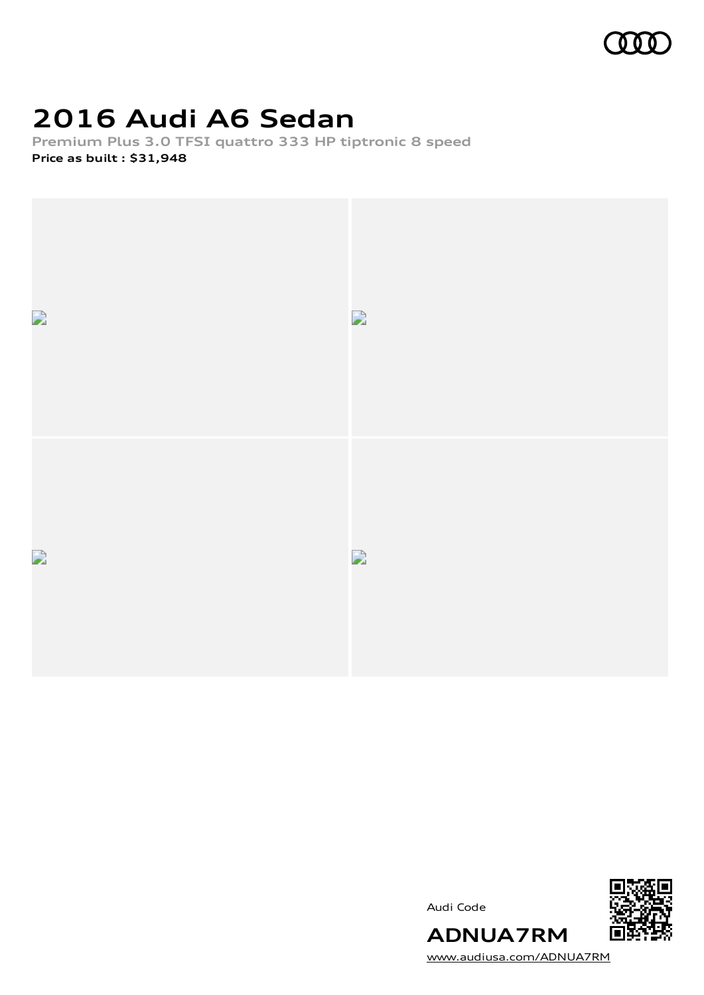

## **2016 Audi A6 Sedan**

**Premium Plus 3.0 TFSI quattro 333 HP tiptronic 8 speed Price as built [:](#page-10-0) \$31,948**



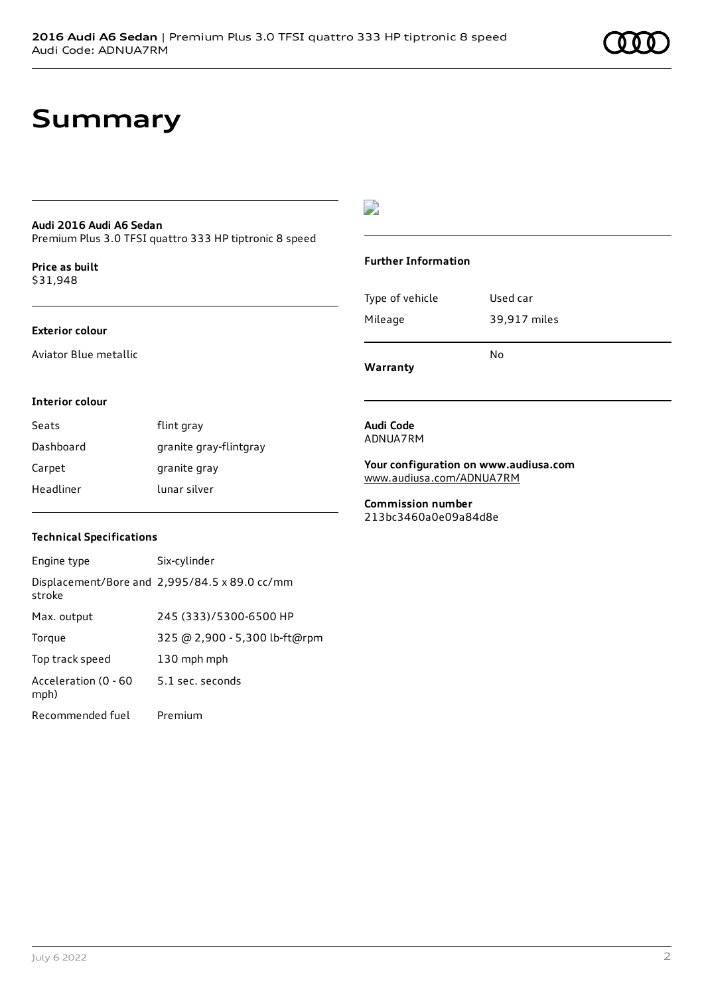## **Summary**

#### **Audi 2016 Audi A6 Sedan**

Premium Plus 3.0 TFSI quattro 333 HP tiptronic 8 speed

**Price as buil[t](#page-10-0)** \$31,948

#### **Exterior colour**

Aviator Blue metallic

## $\overline{\phantom{a}}$

#### **Further Information**

| Warranty        |              |
|-----------------|--------------|
|                 | N٥           |
| Mileage         | 39,917 miles |
| Type of vehicle | Used car     |

#### **Interior colour**

| Seats     | flint gray             |
|-----------|------------------------|
| Dashboard | granite gray-flintgray |
| Carpet    | granite gray           |
| Headliner | lunar silver           |

#### **Audi Code** ADNUA7RM

**Your configuration on www.audiusa.com** [www.audiusa.com/ADNUA7RM](https://www.audiusa.com/ADNUA7RM)

**Commission number** 213bc3460a0e09a84d8e

#### **Technical Specifications**

| Engine type                  | Six-cylinder                                  |
|------------------------------|-----------------------------------------------|
| stroke                       | Displacement/Bore and 2,995/84.5 x 89.0 cc/mm |
| Max. output                  | 245 (333)/5300-6500 HP                        |
| Torque                       | 325 @ 2,900 - 5,300 lb-ft@rpm                 |
| Top track speed              | 130 mph mph                                   |
| Acceleration (0 - 60<br>mph) | 5.1 sec. seconds                              |
| Recommended fuel             | Premium                                       |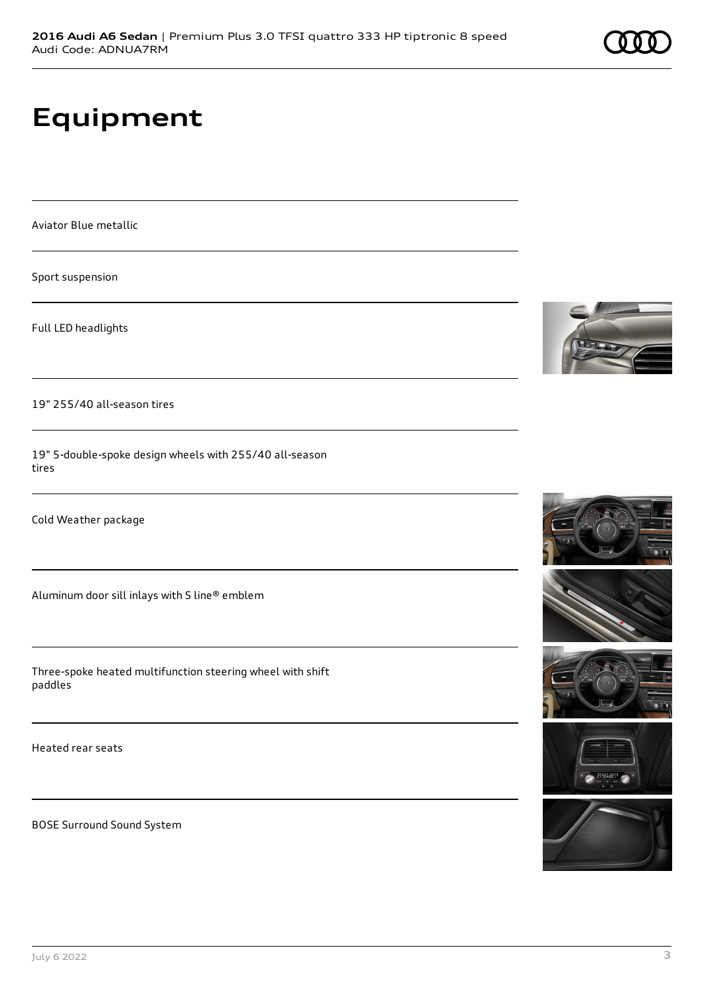## **Equipment**

Aviator Blue metallic

Sport suspension

Full LED headlights

19" 255/40 all-season tires

19" 5-double-spoke design wheels with 255/40 all-season tires

Cold Weather package

Aluminum door sill inlays with S line® emblem

Three-spoke heated multifunction steering wheel with shift paddles

Heated rear seats

BOSE Surround Sound System











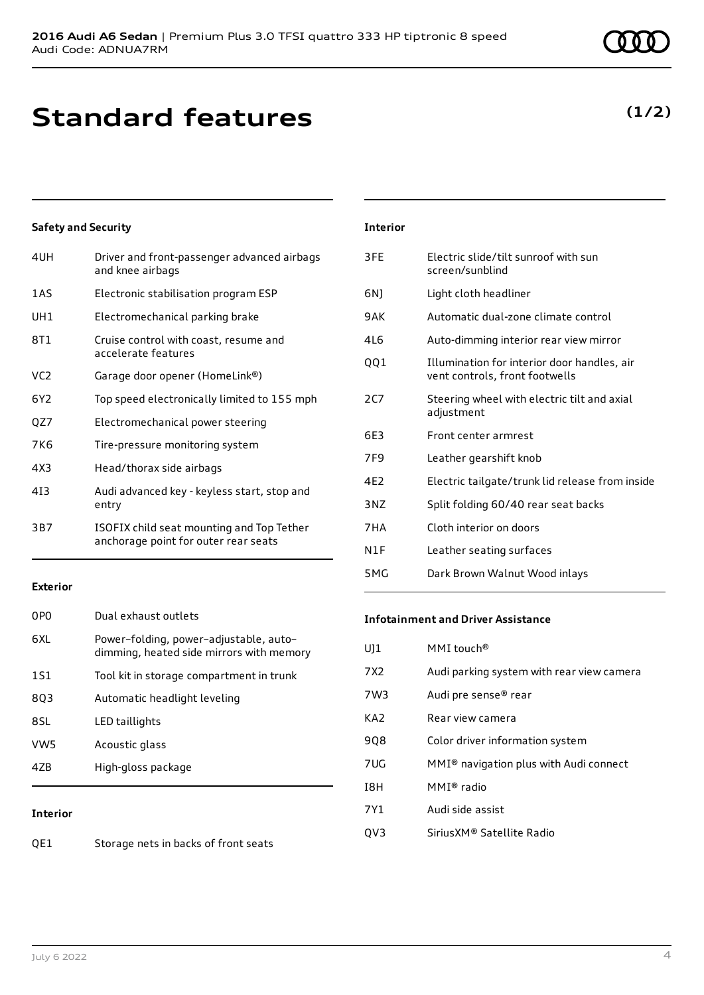## **Standard features**

## **Safety and Security**

| 4UH             | Driver and front-passenger advanced airbags<br>and knee airbags                   |
|-----------------|-----------------------------------------------------------------------------------|
| 1AS             | Electronic stabilisation program ESP                                              |
| UH1             | Electromechanical parking brake                                                   |
| 8T1             | Cruise control with coast, resume and<br>accelerate features                      |
| VC <sub>2</sub> | Garage door opener (HomeLink®)                                                    |
| 6Y2             | Top speed electronically limited to 155 mph                                       |
| QZ7             | Electromechanical power steering                                                  |
| 7K6             | Tire-pressure monitoring system                                                   |
| 4X3             | Head/thorax side airbags                                                          |
| 413             | Audi advanced key - keyless start, stop and<br>entry                              |
| 3B7             | ISOFIX child seat mounting and Top Tether<br>anchorage point for outer rear seats |
|                 |                                                                                   |

#### **Exterior**

| 0PO  | Dual exhaust outlets                                                               |
|------|------------------------------------------------------------------------------------|
| 6XI. | Power-folding, power-adjustable, auto-<br>dimming, heated side mirrors with memory |
| 151  | Tool kit in storage compartment in trunk                                           |
| 8Q3  | Automatic headlight leveling                                                       |
| 8SL  | LED taillights                                                                     |
| VW5  | Acoustic glass                                                                     |
| 47R  | High-gloss package                                                                 |

## **Interior**

## **Interior**

| 3FE             | Electric slide/tilt sunroof with sun<br>screen/sunblind                       |
|-----------------|-------------------------------------------------------------------------------|
| 6NJ             | Light cloth headliner                                                         |
| 9AK             | Automatic dual-zone climate control                                           |
| 4L6             | Auto-dimming interior rear view mirror                                        |
| QQ1             | Illumination for interior door handles, air<br>vent controls, front footwells |
| 2C              | Steering wheel with electric tilt and axial<br>adjustment                     |
| 6E3             | Front center armrest                                                          |
| 7F <sub>9</sub> | Leather gearshift knob                                                        |
| 4E2             | Electric tailgate/trunk lid release from inside                               |
| 3NZ             | Split folding 60/40 rear seat backs                                           |
| 7HA             | Cloth interior on doors                                                       |
| N1F             | Leather seating surfaces                                                      |
| 5MG             | Dark Brown Walnut Wood inlays                                                 |

### **Infotainment and Driver Assistance**

| $U$ ] $1$       | MMI touch®                                         |
|-----------------|----------------------------------------------------|
| 7X2             | Audi parking system with rear view camera          |
| 7W3             | Audi pre sense® rear                               |
| KA <sub>2</sub> | Rear view camera                                   |
| 908             | Color driver information system                    |
| 7UG             | MMI <sup>®</sup> navigation plus with Audi connect |
| I8H             | MMI® radio                                         |
| 7Y1             | Audi side assist                                   |
| QV3             | Sirius XM <sup>®</sup> Satellite Radio             |

## **(1/2)**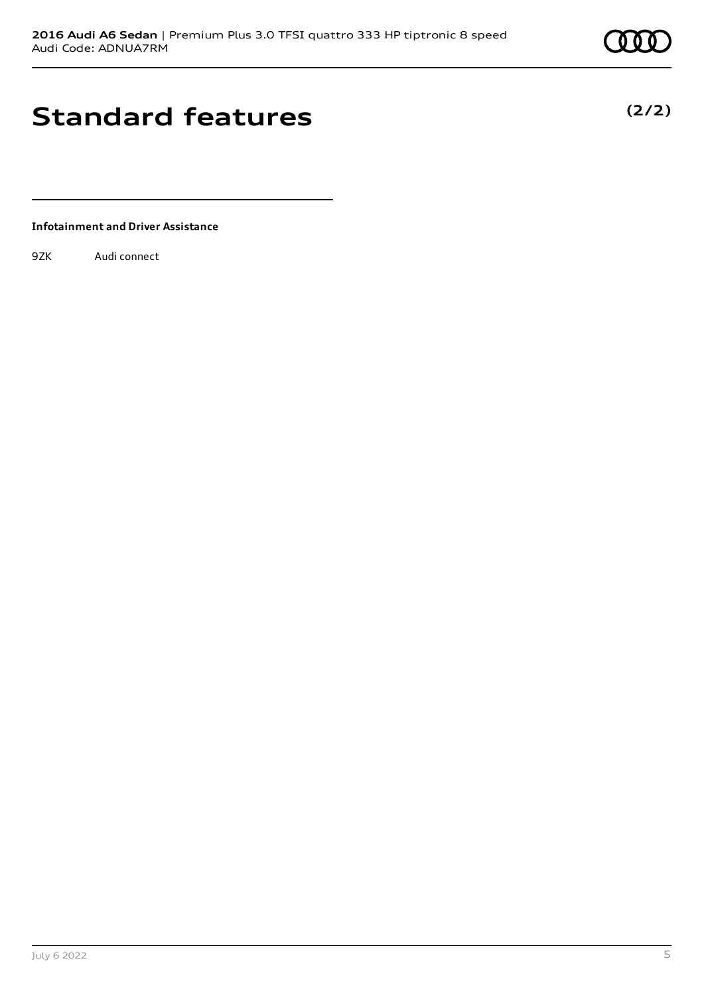

## **Standard features**

**Infotainment and Driver Assistance**

9ZK Audi connect

**(2/2)**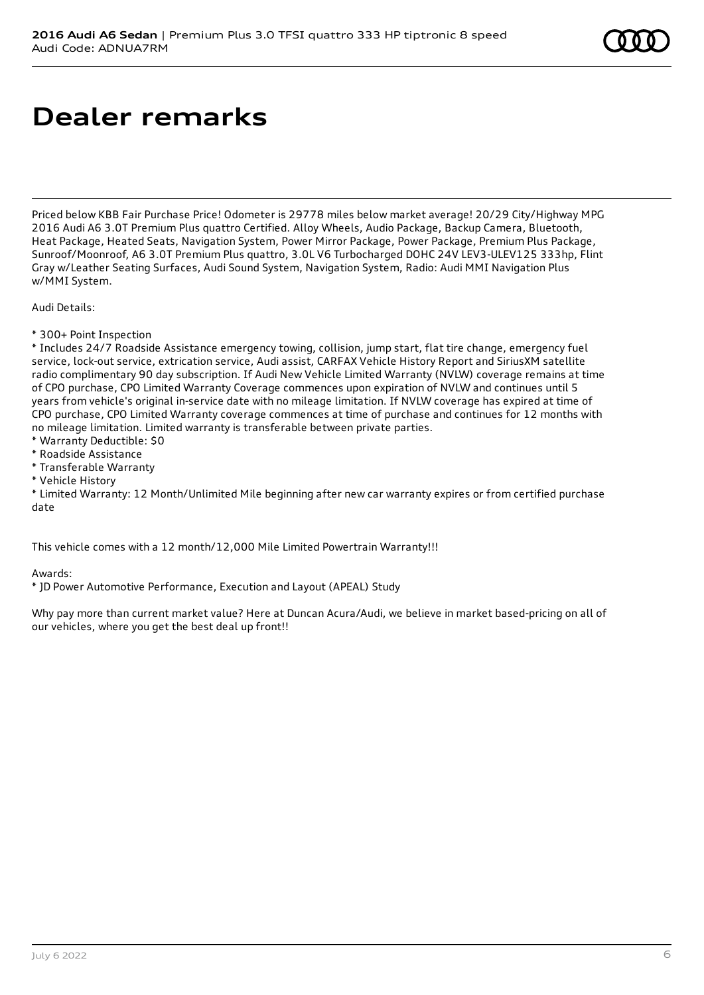## **Dealer remarks**

Priced below KBB Fair Purchase Price! Odometer is 29778 miles below market average! 20/29 City/Highway MPG 2016 Audi A6 3.0T Premium Plus quattro Certified. Alloy Wheels, Audio Package, Backup Camera, Bluetooth, Heat Package, Heated Seats, Navigation System, Power Mirror Package, Power Package, Premium Plus Package, Sunroof/Moonroof, A6 3.0T Premium Plus quattro, 3.0L V6 Turbocharged DOHC 24V LEV3-ULEV125 333hp, Flint Gray w/Leather Seating Surfaces, Audi Sound System, Navigation System, Radio: Audi MMI Navigation Plus w/MMI System.

Audi Details:

\* 300+ Point Inspection

\* Includes 24/7 Roadside Assistance emergency towing, collision, jump start, flat tire change, emergency fuel service, lock-out service, extrication service, Audi assist, CARFAX Vehicle History Report and SiriusXM satellite radio complimentary 90 day subscription. If Audi New Vehicle Limited Warranty (NVLW) coverage remains at time of CPO purchase, CPO Limited Warranty Coverage commences upon expiration of NVLW and continues until 5 years from vehicle's original in-service date with no mileage limitation. If NVLW coverage has expired at time of CPO purchase, CPO Limited Warranty coverage commences at time of purchase and continues for 12 months with no mileage limitation. Limited warranty is transferable between private parties.

- \* Warranty Deductible: \$0
- \* Roadside Assistance
- \* Transferable Warranty
- \* Vehicle History

\* Limited Warranty: 12 Month/Unlimited Mile beginning after new car warranty expires or from certified purchase date

This vehicle comes with a 12 month/12,000 Mile Limited Powertrain Warranty!!!

Awards:

\* JD Power Automotive Performance, Execution and Layout (APEAL) Study

Why pay more than current market value? Here at Duncan Acura/Audi, we believe in market based-pricing on all of our vehicles, where you get the best deal up front!!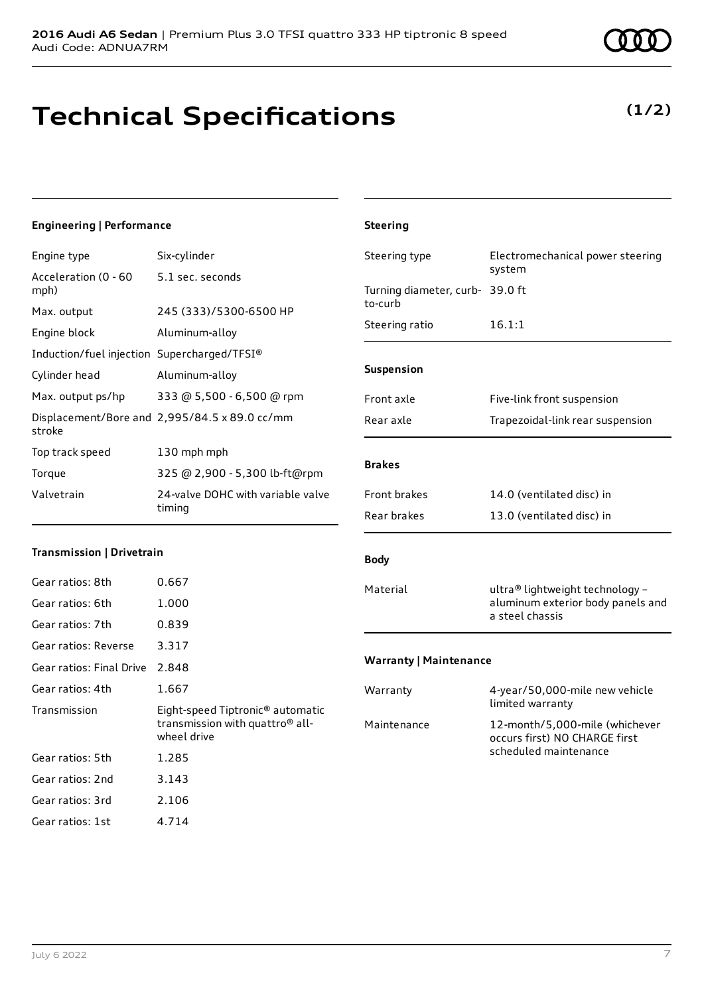## **Technical Specifications**

5.1 sec. seconds

Max. output 245 (333)/5300-6500 HP

**Engineering | Performance**

Acceleration (0 - 60

mph)

Engine type Six-cylinder

**(1/2)**

Gear ratios: Reverse 3.317 Gear ratios: Final Drive 2.848 Gear ratios: 4th 1.667

Gear ratios: 5th 1.285 Gear ratios: 2nd 3.143 Gear ratios: 3rd 2.106 Gear ratios: 1st 4.714

Transmission Eight-speed Tiptronic® automatic

wheel drive

transmission with quattro® all-

| Engine block                                            | Aluminum-alloy                              | Steering ratio    | 16.1:1            |
|---------------------------------------------------------|---------------------------------------------|-------------------|-------------------|
| Induction/fuel injection Supercharged/TFSI®             |                                             |                   |                   |
| Cylinder head                                           | Aluminum-alloy                              | <b>Suspension</b> |                   |
|                                                         | Max. output ps/hp 333 @ 5,500 - 6,500 @ rpm | Front axle        | Five-lin          |
| Displacement/Bore and 2,995/84.5 x 89.0 cc/mm<br>stroke |                                             | Rear axle         | Trapez            |
| Top track speed                                         | 130 mph mph                                 |                   |                   |
| 325 @ 2,900 - 5,300 lb-ft@rpm<br>Torque                 |                                             | <b>Brakes</b>     |                   |
| Valvetrain                                              | 24-valve DOHC with variable valve           | Front brakes      | 14.0 <sub>0</sub> |
| timing                                                  |                                             | Rear brakes       | 13.0(             |
| Transmission   Drivetrain                               |                                             | <b>Body</b>       |                   |
| Gear ratios: 8th                                        | 0.667                                       | Material          | ultra®            |
| Gear ratios: 6th                                        | 1.000                                       |                   | alumin            |
| Gear ratios: 7th                                        | 0.839                                       |                   | a steel           |
|                                                         |                                             |                   |                   |

# ve-link front suspension apezoidal-link rear suspension 4.0 (ventilated disc) in 3.0 (ventilated disc) in tra<sup>®</sup> lightweight technology – uminum exterior body panels and steel chassis

Steering type Electromechanical power steering system

### **Warranty | Maintenance**

**Steering**

to-curb

Turning diameter, curb-39.0 ft

| Warranty    | 4-year/50,000-mile new vehicle<br>limited warranty                                       |
|-------------|------------------------------------------------------------------------------------------|
| Maintenance | 12-month/5,000-mile (whichever<br>occurs first) NO CHARGE first<br>scheduled maintenance |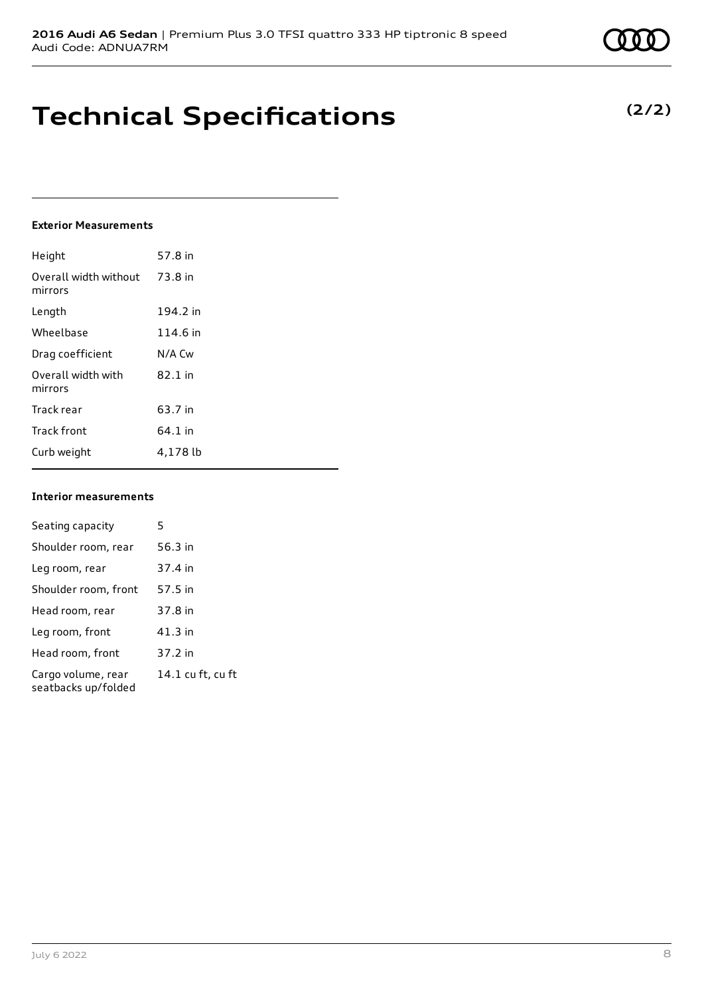## **Technical Specifications**

#### **Exterior Measurements**

| Height                           | 57.8 in   |
|----------------------------------|-----------|
| Overall width without<br>mirrors | 73.8 in   |
| Length                           | 194.2 in  |
| Wheelbase                        | 114.6 in  |
| Drag coefficient                 | N/A Cw    |
| Overall width with<br>mirrors    | $82.1$ in |
| Track rear                       | 63.7 in   |
| <b>Track front</b>               | 64.1 in   |
| Curb weight                      | 4,178 lb  |

#### **Interior measurements**

| Seating capacity                          | 5                 |
|-------------------------------------------|-------------------|
| Shoulder room, rear                       | 56.3 in           |
| Leg room, rear                            | 37.4 in           |
| Shoulder room, front                      | 57.5 in           |
| Head room, rear                           | 37.8 in           |
| Leg room, front                           | 41.3 in           |
| Head room, front                          | 37.2 in           |
| Cargo volume, rear<br>seatbacks up/folded | 14.1 cu ft, cu ft |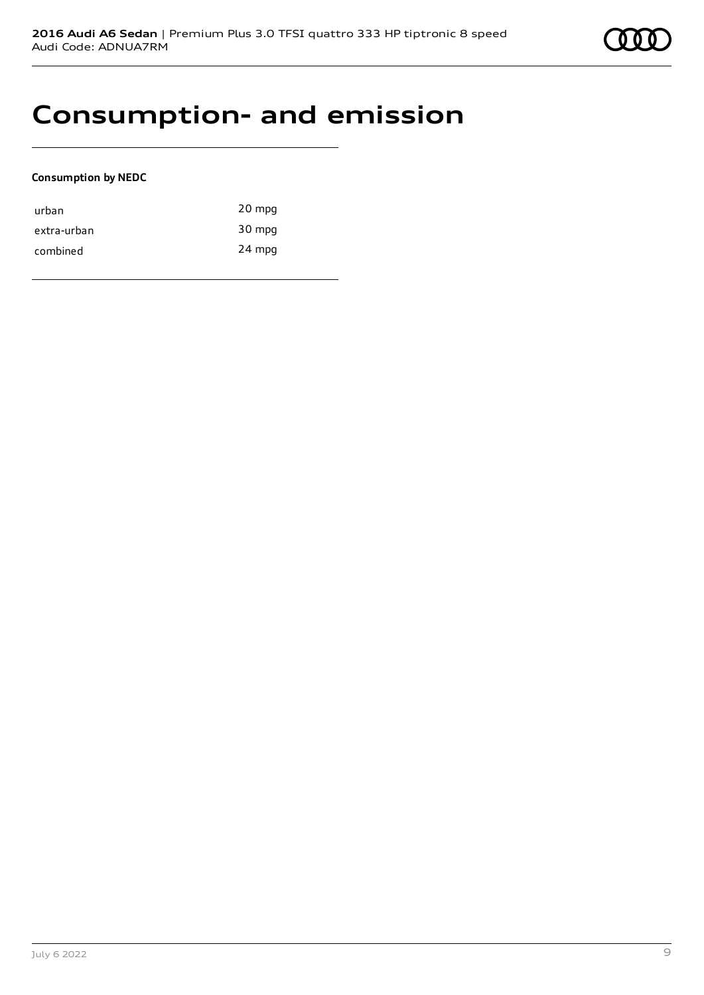## **Consumption- and emission**

### **Consumption by NEDC**

| urban       | 20 mpg |
|-------------|--------|
| extra-urban | 30 mpg |
| combined    | 24 mpg |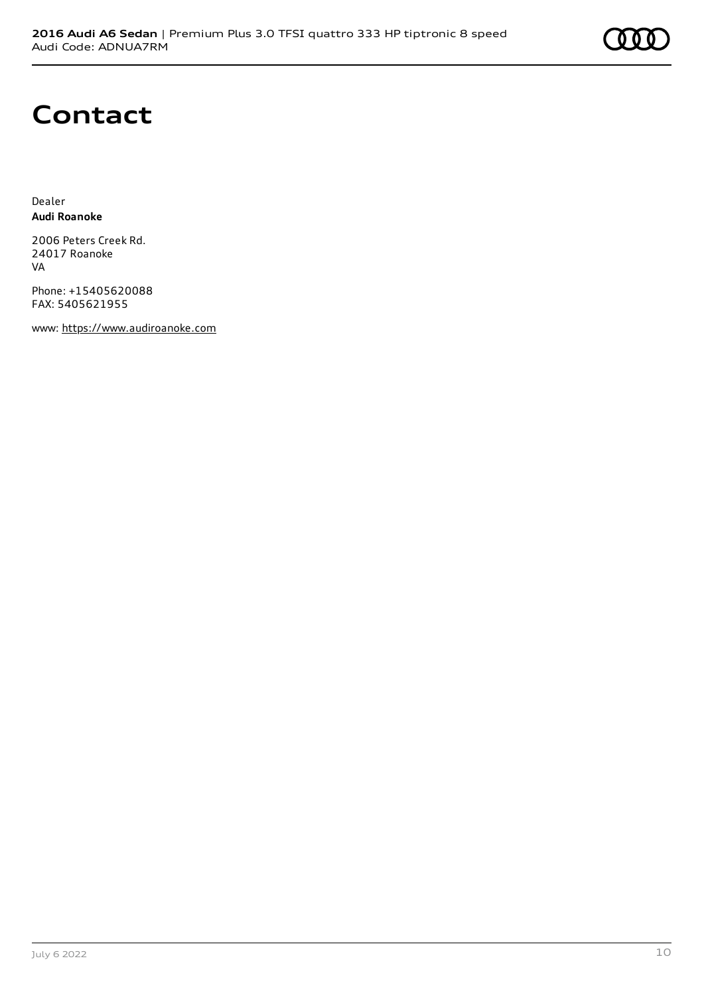

## **Contact**

Dealer **Audi Roanoke**

2006 Peters Creek Rd. 24017 Roanoke VA

Phone: +15405620088 FAX: 5405621955

www: [https://www.audiroanoke.com](https://www.audiroanoke.com/)